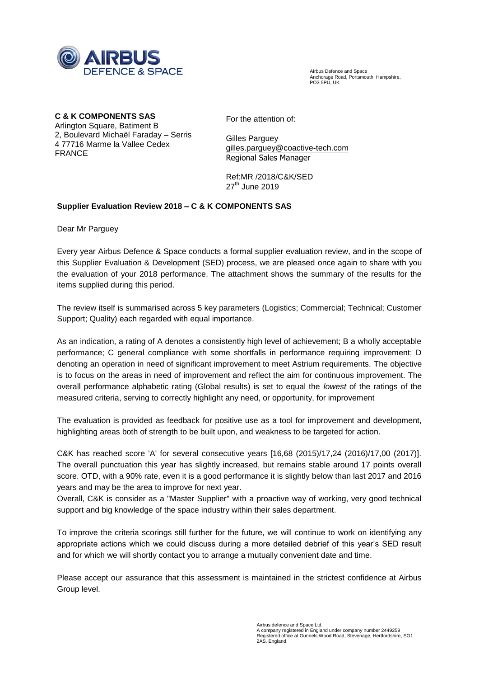

Airbus Defence and Space Anchorage Road, Portsmouth, Hampshire, **PO3 5PU LIK** 

**C & K COMPONENTS SAS**

Arlington Square, Batiment B 2, Boulevard Michaël Faraday – Serris 4 77716 Marme la Vallee Cedex FRANCE

For the attention of:

Gilles Parguey [gilles.parguey@coactive-tech.com](mailto:gilles.parguey@coactive-tech.com) Regional Sales Manager

Ref:MR /2018/C&K/SED  $27<sup>th</sup>$  June 2019

## **Supplier Evaluation Review 2018 – C & K COMPONENTS SAS**

Dear Mr Parguey

Every year Airbus Defence & Space conducts a formal supplier evaluation review, and in the scope of this Supplier Evaluation & Development (SED) process, we are pleased once again to share with you the evaluation of your 2018 performance. The attachment shows the summary of the results for the items supplied during this period.

The review itself is summarised across 5 key parameters (Logistics; Commercial; Technical; Customer Support; Quality) each regarded with equal importance.

As an indication, a rating of A denotes a consistently high level of achievement; B a wholly acceptable performance; C general compliance with some shortfalls in performance requiring improvement; D denoting an operation in need of significant improvement to meet Astrium requirements. The objective is to focus on the areas in need of improvement and reflect the aim for continuous improvement. The overall performance alphabetic rating (Global results) is set to equal the *lowest* of the ratings of the measured criteria, serving to correctly highlight any need, or opportunity, for improvement

The evaluation is provided as feedback for positive use as a tool for improvement and development, highlighting areas both of strength to be built upon, and weakness to be targeted for action.

C&K has reached score 'A' for several consecutive years [16,68 (2015)/17,24 (2016)/17,00 (2017)]. The overall punctuation this year has slightly increased, but remains stable around 17 points overall score. OTD, with a 90% rate, even it is a good performance it is slightly below than last 2017 and 2016 years and may be the area to improve for next year.

Overall, C&K is consider as a "Master Supplier" with a proactive way of working, very good technical support and big knowledge of the space industry within their sales department.

To improve the criteria scorings still further for the future, we will continue to work on identifying any appropriate actions which we could discuss during a more detailed debrief of this year's SED result and for which we will shortly contact you to arrange a mutually convenient date and time.

Please accept our assurance that this assessment is maintained in the strictest confidence at Airbus Group level.